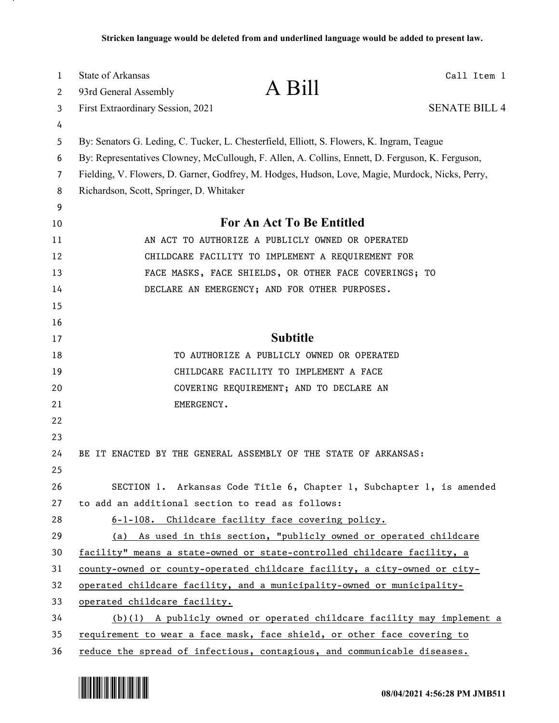| $\mathbf 1$ | <b>State of Arkansas</b>                                                                         |                                                                        | Call Item 1          |
|-------------|--------------------------------------------------------------------------------------------------|------------------------------------------------------------------------|----------------------|
| 2           | 93rd General Assembly                                                                            | A Bill                                                                 |                      |
| 3           | First Extraordinary Session, 2021                                                                |                                                                        | <b>SENATE BILL 4</b> |
| 4           |                                                                                                  |                                                                        |                      |
| 5           | By: Senators G. Leding, C. Tucker, L. Chesterfield, Elliott, S. Flowers, K. Ingram, Teague       |                                                                        |                      |
| 6           | By: Representatives Clowney, McCullough, F. Allen, A. Collins, Ennett, D. Ferguson, K. Ferguson, |                                                                        |                      |
| 7           | Fielding, V. Flowers, D. Garner, Godfrey, M. Hodges, Hudson, Love, Magie, Murdock, Nicks, Perry, |                                                                        |                      |
| 8           | Richardson, Scott, Springer, D. Whitaker                                                         |                                                                        |                      |
| 9           |                                                                                                  |                                                                        |                      |
| 10          | For An Act To Be Entitled                                                                        |                                                                        |                      |
| 11          |                                                                                                  | AN ACT TO AUTHORIZE A PUBLICLY OWNED OR OPERATED                       |                      |
| 12          |                                                                                                  | CHILDCARE FACILITY TO IMPLEMENT A REQUIREMENT FOR                      |                      |
| 13          |                                                                                                  | FACE MASKS, FACE SHIELDS, OR OTHER FACE COVERINGS; TO                  |                      |
| 14          |                                                                                                  | DECLARE AN EMERGENCY; AND FOR OTHER PURPOSES.                          |                      |
| 15          |                                                                                                  |                                                                        |                      |
| 16          |                                                                                                  |                                                                        |                      |
| 17          |                                                                                                  | <b>Subtitle</b>                                                        |                      |
| 18          |                                                                                                  | TO AUTHORIZE A PUBLICLY OWNED OR OPERATED                              |                      |
| 19          |                                                                                                  | CHILDCARE FACILITY TO IMPLEMENT A FACE                                 |                      |
| 20          |                                                                                                  | COVERING REQUIREMENT; AND TO DECLARE AN                                |                      |
| 21          | EMERGENCY.                                                                                       |                                                                        |                      |
| 22          |                                                                                                  |                                                                        |                      |
| 23          |                                                                                                  |                                                                        |                      |
| 24          | BE IT ENACTED BY THE GENERAL ASSEMBLY OF THE STATE OF ARKANSAS:                                  |                                                                        |                      |
| 25          |                                                                                                  |                                                                        |                      |
| 26          |                                                                                                  | SECTION 1. Arkansas Code Title 6, Chapter 1, Subchapter 1, is amended  |                      |
| 27          | to add an additional section to read as follows:                                                 |                                                                        |                      |
| 28          |                                                                                                  | 6-1-108. Childcare facility face covering policy.                      |                      |
| 29          |                                                                                                  | (a) As used in this section, "publicly owned or operated childcare     |                      |
| 30          | facility" means a state-owned or state-controlled childcare facility, a                          |                                                                        |                      |
| 31          | county-owned or county-operated childcare facility, a city-owned or city-                        |                                                                        |                      |
| 32          | operated childcare facility, and a municipality-owned or municipality-                           |                                                                        |                      |
| 33          | operated childcare facility.                                                                     |                                                                        |                      |
| 34          |                                                                                                  | (b)(1) A publicly owned or operated childcare facility may implement a |                      |
| 35          | requirement to wear a face mask, face shield, or other face covering to                          |                                                                        |                      |
| 36          | reduce the spread of infectious, contagious, and communicable diseases.                          |                                                                        |                      |